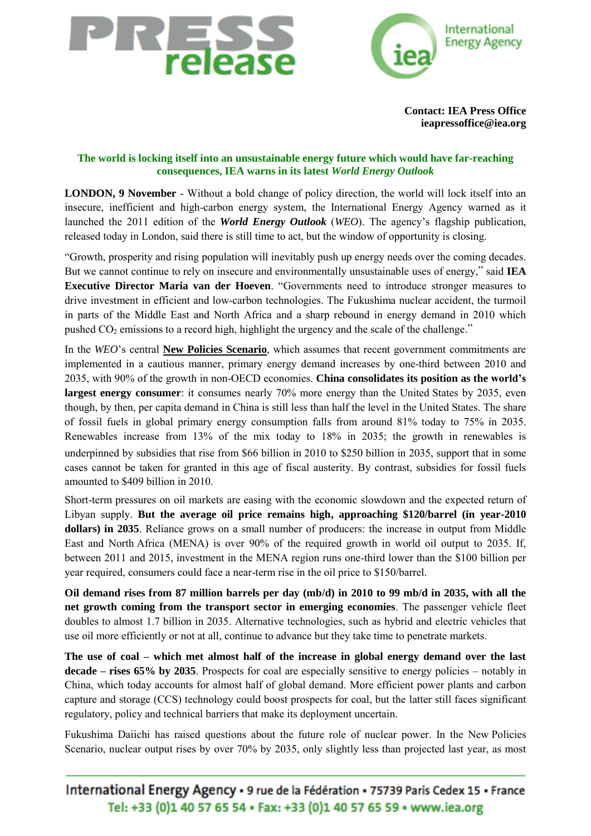



**[Contact: IEA Press Office](mailto:ieapressoffice@iea.org)  ieapressoffice@iea.org**

## **The world is locking itself into an unsustainable energy future which would have far-reaching consequences, IEA warns in its latest** *World Energy Outlook*

**LONDON, 9 November** - Without a bold change of policy direction, the world will lock itself into an insecure, inefficient and high-carbon energy system, the International Energy Agency warned as it launched the 2011 edition of the *[World Energy Outlook](http://www.worldenergyoutlook.org/index.asp)* (*WEO*). The agency"s flagship publication, released today in London, said there is still time to act, but the window of opportunity is closing.

"Growth, prosperity and rising population will inevitably push up energy needs over the coming decades. But we cannot continue to rely on insecure and environmentally unsustainable uses of energy," said **IEA Executive Director Maria van der Hoeven**. "Governments need to introduce stronger measures to drive investment in efficient and low-carbon technologies. The Fukushima nuclear accident, the turmoil in parts of the Middle East and North Africa and a sharp rebound in energy demand in 2010 which pushed  $CO<sub>2</sub>$  emissions to a record high, highlight the urgency and the scale of the challenge."

In the *WEO*"s central **New Policies Scenario**, which assumes that recent government commitments are implemented in a cautious manner, primary energy demand increases by one-third between 2010 and 2035, with 90% of the growth in non-OECD economies. **China consolidates its position as the world's largest energy consumer**: it consumes nearly 70% more energy than the United States by 2035, even though, by then, per capita demand in China is still less than half the level in the United States. The share of fossil fuels in global primary energy consumption falls from around 81% today to 75% in 2035. Renewables increase from 13% of the mix today to 18% in 2035; the growth in renewables is underpinned by subsidies that rise from \$66 billion in 2010 to \$250 billion in 2035, support that in some cases cannot be taken for granted in this age of fiscal austerity. By contrast, subsidies for fossil fuels amounted to \$409 billion in 2010.

Short-term pressures on oil markets are easing with the economic slowdown and the expected return of Libyan supply. **But the average oil price remains high, approaching \$120/barrel (in year-2010 dollars) in 2035**. Reliance grows on a small number of producers: the increase in output from Middle East and North Africa (MENA) is over 90% of the required growth in world oil output to 2035. If, between 2011 and 2015, investment in the MENA region runs one-third lower than the \$100 billion per year required, consumers could face a near-term rise in the oil price to \$150/barrel.

**Oil demand rises from 87 million barrels per day (mb/d) in 2010 to 99 mb/d in 2035, with all the net growth coming from the transport sector in emerging economies**. The passenger vehicle fleet doubles to almost 1.7 billion in 2035. Alternative technologies, such as hybrid and electric vehicles that use oil more efficiently or not at all, continue to advance but they take time to penetrate markets.

**The use of coal – which met almost half of the increase in global energy demand over the last decade – rises 65% by 2035**. Prospects for coal are especially sensitive to energy policies – notably in China, which today accounts for almost half of global demand. More efficient power plants and carbon capture and storage (CCS) technology could boost prospects for coal, but the latter still faces significant regulatory, policy and technical barriers that make its deployment uncertain.

Fukushima Daiichi has raised questions about the future role of nuclear power. In the New Policies Scenario, nuclear output rises by over 70% by 2035, only slightly less than projected last year, as most

International Energy Agency · 9 rue de la Fédération · 75739 Paris Cedex 15 · France Tel: +33 (0)1 40 57 65 54 · Fax: +33 (0)1 40 57 65 59 · www.iea.org